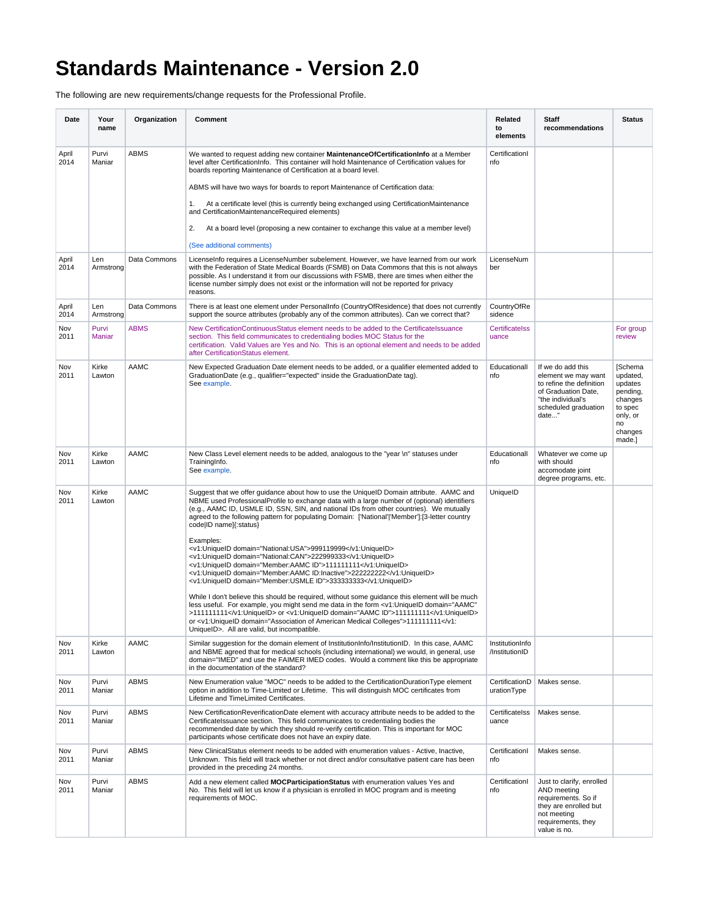## **Standards Maintenance - Version 2.0**

The following are new requirements/change requests for the Professional Profile.

| Date          | Your<br>name     | Organization | Comment                                                                                                                                                                                                                                                                                                                                                                                                                          | Related<br>to<br>elements         | Staff<br>recommendations                                                                                                                          | Status                                                                                                  |
|---------------|------------------|--------------|----------------------------------------------------------------------------------------------------------------------------------------------------------------------------------------------------------------------------------------------------------------------------------------------------------------------------------------------------------------------------------------------------------------------------------|-----------------------------------|---------------------------------------------------------------------------------------------------------------------------------------------------|---------------------------------------------------------------------------------------------------------|
| April<br>2014 | Purvi<br>Maniar  | <b>ABMS</b>  | We wanted to request adding new container <b>Maintenance Of Certification Info</b> at a Member<br>level after CertificationInfo. This container will hold Maintenance of Certification values for<br>boards reporting Maintenance of Certification at a board level.                                                                                                                                                             | CertificationI<br>nfo             |                                                                                                                                                   |                                                                                                         |
|               |                  |              | ABMS will have two ways for boards to report Maintenance of Certification data:                                                                                                                                                                                                                                                                                                                                                  |                                   |                                                                                                                                                   |                                                                                                         |
|               |                  |              | At a certificate level (this is currently being exchanged using CertificationMaintenance<br>1.<br>and CertificationMaintenanceRequired elements)                                                                                                                                                                                                                                                                                 |                                   |                                                                                                                                                   |                                                                                                         |
|               |                  |              | 2.<br>At a board level (proposing a new container to exchange this value at a member level)                                                                                                                                                                                                                                                                                                                                      |                                   |                                                                                                                                                   |                                                                                                         |
|               |                  |              | (See additional comments)                                                                                                                                                                                                                                                                                                                                                                                                        |                                   |                                                                                                                                                   |                                                                                                         |
| April<br>2014 | Len<br>Armstrong | Data Commons | Licenselnfo requires a LicenseNumber subelement. However, we have learned from our work<br>with the Federation of State Medical Boards (FSMB) on Data Commons that this is not always<br>possible. As I understand it from our discussions with FSMB, there are times when either the<br>license number simply does not exist or the information will not be reported for privacy<br>reasons.                                    | LicenseNum<br>ber                 |                                                                                                                                                   |                                                                                                         |
| April<br>2014 | Len<br>Armstrong | Data Commons | There is at least one element under PersonalInfo (CountryOfResidence) that does not currently<br>support the source attributes (probably any of the common attributes). Can we correct that?                                                                                                                                                                                                                                     | CountryOfRe<br>sidence            |                                                                                                                                                   |                                                                                                         |
| Nov<br>2011   | Purvi<br>Maniar  | <b>ABMS</b>  | New CertificationContinuousStatus element needs to be added to the CertificateIssuance<br>section. This field communicates to credentialing bodies MOC Status for the<br>certification. Valid Values are Yes and No. This is an optional element and needs to be added<br>after CertificationStatus element.                                                                                                                     | <b>Certificatelss</b><br>uance    |                                                                                                                                                   | For group<br>review                                                                                     |
| Nov<br>2011   | Kirke<br>Lawton  | AAMC         | New Expected Graduation Date element needs to be added, or a qualifier elemented added to<br>GraduationDate (e.g., qualifier="expected" inside the GraduationDate tag).<br>See example.                                                                                                                                                                                                                                          | Educationall<br>nfo               | If we do add this<br>element we may want<br>to refine the definition<br>of Graduation Date,<br>"the individual's<br>scheduled graduation<br>date" | [Schema<br>updated,<br>updates<br>pending,<br>changes<br>to spec<br>only, or<br>no<br>changes<br>made.] |
| Nov<br>2011   | Kirke<br>Lawton  | AAMC         | New Class Level element needs to be added, analogous to the "year \n" statuses under<br>TrainingInfo.<br>See example.                                                                                                                                                                                                                                                                                                            | Educationall<br>nfo               | Whatever we come up<br>with should<br>accomodate joint<br>degree programs, etc.                                                                   |                                                                                                         |
| Nov<br>2011   | Kirke<br>Lawton  | AAMC         | Suggest that we offer guidance about how to use the UniqueID Domain attribute. AAMC and<br>NBME used ProfessionalProfile to exchange data with a large number of (optional) identifiers<br>(e.g., AAMC ID, USMLE ID, SSN, SIN, and national IDs from other countries). We mutually<br>agreed to the following pattern for populating Domain: ['National' 'Member']:[3-letter country<br>code ID name]{:status}                   | UniquelD                          |                                                                                                                                                   |                                                                                                         |
|               |                  |              | Examples:<br><v1:uniqueid domain="National:USA">999119999</v1:uniqueid><br><v1:uniqueid domain="National:CAN">222999333</v1:uniqueid><br><v1:uniqueid domain="Member:AAMC ID">111111111</v1:uniqueid><br><v1:uniqueid domain="Member:AAMC ID:Inactive">222222222</v1:uniqueid><br><v1:uniqueid domain="Member:USMLE ID">333333333</v1:uniqueid>                                                                                  |                                   |                                                                                                                                                   |                                                                                                         |
|               |                  |              | While I don't believe this should be required, without some guidance this element will be much<br>less useful. For example, you might send me data in the form <v1:uniqueid <br="" domain="AAMC">&gt;111111111</v1:uniqueid> or <v1:uniqueid domain="AAMC ID">111111111</v1:uniqueid><br>or <v1:uniqueid domain="Association of American Medical Colleges">111111111UniqueID&gt;. All are valid, but incompatible.</v1:uniqueid> |                                   |                                                                                                                                                   |                                                                                                         |
| Nov<br>2011   | Kirke<br>Lawton  | AAMC         | Similar suggestion for the domain element of InstitutionInfo/InstitutionID. In this case, AAMC<br>and NBME agreed that for medical schools (including international) we would, in general, use<br>domain="IMED" and use the FAIMER IMED codes. Would a comment like this be appropriate<br>in the documentation of the standard?                                                                                                 | InstitutionInfo<br>/InstitutionID |                                                                                                                                                   |                                                                                                         |
| Nov<br>2011   | Purvi<br>Maniar  | <b>ABMS</b>  | New Enumeration value "MOC" needs to be added to the CertificationDurationType element<br>option in addition to Time-Limited or Lifetime. This will distinguish MOC certificates from<br>Lifetime and TimeLimited Certificates.                                                                                                                                                                                                  | CertificationD<br>urationType     | Makes sense.                                                                                                                                      |                                                                                                         |
| Nov<br>2011   | Purvi<br>Maniar  | <b>ABMS</b>  | New CertificationReverificationDate element with accuracy attribute needs to be added to the<br>Certificatelssuance section. This field communicates to credentialing bodies the<br>recommended date by which they should re-verify certification. This is important for MOC<br>participants whose certificate does not have an expiry date.                                                                                     | Certificatelss<br>uance           | Makes sense.                                                                                                                                      |                                                                                                         |
| Nov<br>2011   | Purvi<br>Maniar  | <b>ABMS</b>  | New ClinicalStatus element needs to be added with enumeration values - Active, Inactive,<br>Unknown. This field will track whether or not direct and/or consultative patient care has been<br>provided in the preceding 24 months.                                                                                                                                                                                               | CertificationI<br>nfo             | Makes sense.                                                                                                                                      |                                                                                                         |
| Nov<br>2011   | Purvi<br>Maniar  | <b>ABMS</b>  | Add a new element called MOCParticipationStatus with enumeration values Yes and<br>No. This field will let us know if a physician is enrolled in MOC program and is meeting<br>requirements of MOC.                                                                                                                                                                                                                              | CertificationI<br>nfo             | Just to clarify, enrolled<br>AND meeting<br>requirements. So if<br>they are enrolled but<br>not meeting<br>requirements, they<br>value is no.     |                                                                                                         |